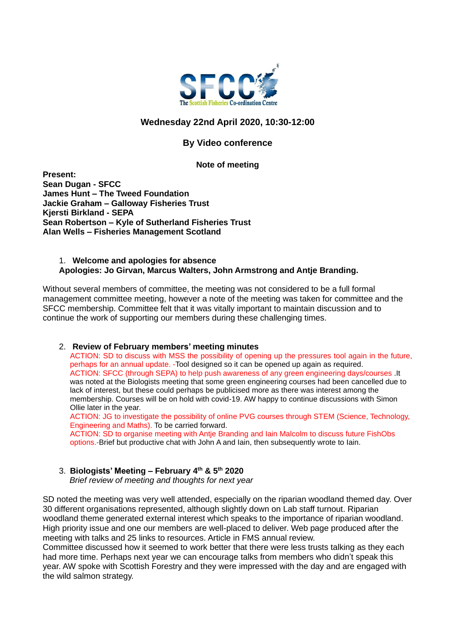

# **Wednesday 22nd April 2020, 10:30-12:00**

# **By Video conference**

#### **Note of meeting**

**Present: Sean Dugan - SFCC James Hunt – The Tweed Foundation Jackie Graham – Galloway Fisheries Trust Kjersti Birkland - SEPA Sean Robertson – Kyle of Sutherland Fisheries Trust Alan Wells – Fisheries Management Scotland**

#### 1. **Welcome and apologies for absence Apologies: Jo Girvan, Marcus Walters, John Armstrong and Antje Branding.**

Without several members of committee, the meeting was not considered to be a full formal management committee meeting, however a note of the meeting was taken for committee and the SFCC membership. Committee felt that it was vitally important to maintain discussion and to continue the work of supporting our members during these challenging times.

## 2. **Review of February members' meeting minutes**

ACTION: SD to discuss with MSS the possibility of opening up the pressures tool again in the future, perhaps for an annual update. -Tool designed so it can be opened up again as required. ACTION: SFCC (through SEPA) to help push awareness of any green engineering days/courses .It was noted at the Biologists meeting that some green engineering courses had been cancelled due to lack of interest, but these could perhaps be publicised more as there was interest among the membership. Courses will be on hold with covid-19. AW happy to continue discussions with Simon Ollie later in the year.

ACTION: JG to investigate the possibility of online PVG courses through STEM (Science, Technology, Engineering and Maths). To be carried forward.

ACTION: SD to organise meeting with Antje Branding and Iain Malcolm to discuss future FishObs options.-Brief but productive chat with John A and Iain, then subsequently wrote to Iain.

#### 3. **Biologists' Meeting – February 4th & 5th 2020**

*Brief review of meeting and thoughts for next year*

SD noted the meeting was very well attended, especially on the riparian woodland themed day. Over 30 different organisations represented, although slightly down on Lab staff turnout. Riparian woodland theme generated external interest which speaks to the importance of riparian woodland. High priority issue and one our members are well-placed to deliver. Web page produced after the meeting with talks and 25 links to resources. Article in FMS annual review.

Committee discussed how it seemed to work better that there were less trusts talking as they each had more time. Perhaps next year we can encourage talks from members who didn't speak this year. AW spoke with Scottish Forestry and they were impressed with the day and are engaged with the wild salmon strategy.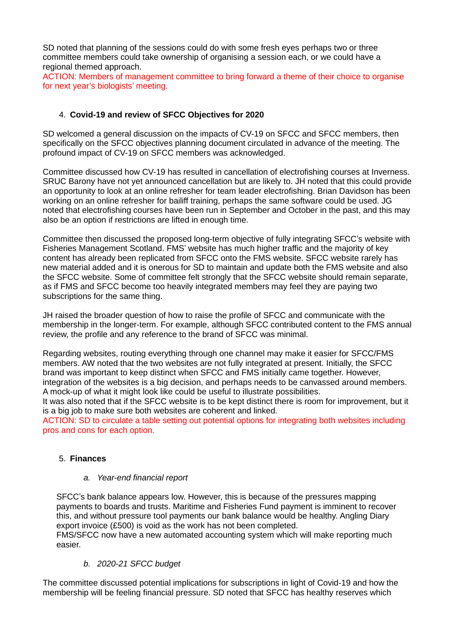SD noted that planning of the sessions could do with some fresh eyes perhaps two or three committee members could take ownership of organising a session each, or we could have a regional themed approach.

ACTION: Members of management committee to bring forward a theme of their choice to organise for next year's biologists' meeting.

## 4. **Covid-19 and review of SFCC Objectives for 2020**

SD welcomed a general discussion on the impacts of CV-19 on SFCC and SFCC members, then specifically on the SFCC objectives planning document circulated in advance of the meeting. The profound impact of CV-19 on SFCC members was acknowledged.

Committee discussed how CV-19 has resulted in cancellation of electrofishing courses at Inverness. SRUC Barony have not yet announced cancellation but are likely to. JH noted that this could provide an opportunity to look at an online refresher for team leader electrofishing. Brian Davidson has been working on an online refresher for bailiff training, perhaps the same software could be used. JG noted that electrofishing courses have been run in September and October in the past, and this may also be an option if restrictions are lifted in enough time.

Committee then discussed the proposed long-term objective of fully integrating SFCC's website with Fisheries Management Scotland. FMS' website has much higher traffic and the majority of key content has already been replicated from SFCC onto the FMS website. SFCC website rarely has new material added and it is onerous for SD to maintain and update both the FMS website and also the SFCC website. Some of committee felt strongly that the SFCC website should remain separate, as if FMS and SFCC become too heavily integrated members may feel they are paying two subscriptions for the same thing.

JH raised the broader question of how to raise the profile of SFCC and communicate with the membership in the longer-term. For example, although SFCC contributed content to the FMS annual review, the profile and any reference to the brand of SFCC was minimal.

Regarding websites, routing everything through one channel may make it easier for SFCC/FMS members. AW noted that the two websites are not fully integrated at present. Initially, the SFCC brand was important to keep distinct when SFCC and FMS initially came together. However, integration of the websites is a big decision, and perhaps needs to be canvassed around members. A mock-up of what it might look like could be useful to illustrate possibilities.

It was also noted that if the SFCC website is to be kept distinct there is room for improvement, but it is a big job to make sure both websites are coherent and linked.

ACTION: SD to circulate a table setting out potential options for integrating both websites including pros and cons for each option.

## 5. **Finances**

#### *a. Year-end financial report*

SFCC's bank balance appears low. However, this is because of the pressures mapping payments to boards and trusts. Maritime and Fisheries Fund payment is imminent to recover this, and without pressure tool payments our bank balance would be healthy. Angling Diary export invoice (£500) is void as the work has not been completed.

FMS/SFCC now have a new automated accounting system which will make reporting much easier.

## *b. 2020-21 SFCC budget*

The committee discussed potential implications for subscriptions in light of Covid-19 and how the membership will be feeling financial pressure. SD noted that SFCC has healthy reserves which